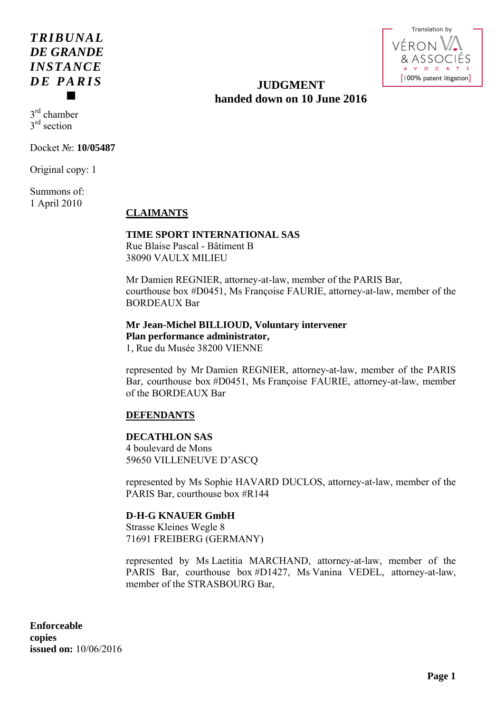# *TRIBUNAL DE GRANDE INSTANCE DE PARIS*  $\blacksquare$

Translation by'ÉROI [100% patent litigation]

# **JUDGMENT handed down on 10 June 2016**

3rd chamber 3<sup>rd</sup> section

Docket №: **10/05487** 

Original copy: 1

Summons of: 1 April 2010

# **CLAIMANTS**

# **TIME SPORT INTERNATIONAL SAS**

Rue Blaise Pascal - Bâtiment B 38090 VAULX MILIEU

Mr Damien REGNIER, attorney-at-law, member of the PARIS Bar, courthouse box #D0451, Ms Françoise FAURIE, attorney-at-law, member of the BORDEAUX Bar

**Mr Jean-Michel BILLIOUD, Voluntary intervener Plan performance administrator,**  1, Rue du Musée 38200 VIENNE

represented by Mr Damien REGNIER, attorney-at-law, member of the PARIS Bar, courthouse box #D0451, Ms Françoise FAURIE, attorney-at-law, member of the BORDEAUX Bar

# **DEFENDANTS**

# **DECATHLON SAS**

4 boulevard de Mons 59650 VILLENEUVE D'ASCQ

represented by Ms Sophie HAVARD DUCLOS, attorney-at-law, member of the PARIS Bar, courthouse box #R144

# **D-H-G KNAUER GmbH**

Strasse Kleines Wegle 8 71691 FREIBERG (GERMANY)

represented by Ms Laetitia MARCHAND, attorney-at-law, member of the PARIS Bar, courthouse box #D1427, Ms Vanina VEDEL, attorney-at-law, member of the STRASBOURG Bar,

**Enforceable copies issued on:** 10/06/2016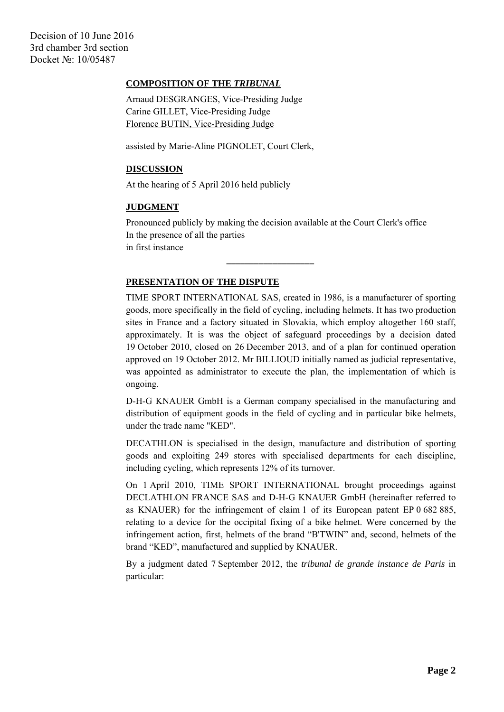Decision of 10 June 2016 3rd chamber 3rd section Docket №: 10/05487

### **COMPOSITION OF THE** *TRIBUNAL*

Arnaud DESGRANGES, Vice-Presiding Judge Carine GILLET, Vice-Presiding Judge Florence BUTIN, Vice-Presiding Judge

assisted by Marie-Aline PIGNOLET, Court Clerk,

#### **DISCUSSION**

At the hearing of 5 April 2016 held publicly

#### **JUDGMENT**

Pronounced publicly by making the decision available at the Court Clerk's office In the presence of all the parties in first instance

### **PRESENTATION OF THE DISPUTE**

 $\frac{1}{2}$  ,  $\frac{1}{2}$  ,  $\frac{1}{2}$  ,  $\frac{1}{2}$  ,  $\frac{1}{2}$  ,  $\frac{1}{2}$  ,  $\frac{1}{2}$  ,  $\frac{1}{2}$  ,  $\frac{1}{2}$  ,  $\frac{1}{2}$  ,  $\frac{1}{2}$  ,  $\frac{1}{2}$  ,  $\frac{1}{2}$  ,  $\frac{1}{2}$  ,  $\frac{1}{2}$  ,  $\frac{1}{2}$  ,  $\frac{1}{2}$  ,  $\frac{1}{2}$  ,  $\frac{1$ 

TIME SPORT INTERNATIONAL SAS, created in 1986, is a manufacturer of sporting goods, more specifically in the field of cycling, including helmets. It has two production sites in France and a factory situated in Slovakia, which employ altogether 160 staff, approximately. It is was the object of safeguard proceedings by a decision dated 19 October 2010, closed on 26 December 2013, and of a plan for continued operation approved on 19 October 2012. Mr BILLIOUD initially named as judicial representative, was appointed as administrator to execute the plan, the implementation of which is ongoing.

D-H-G KNAUER GmbH is a German company specialised in the manufacturing and distribution of equipment goods in the field of cycling and in particular bike helmets, under the trade name "KED".

DECATHLON is specialised in the design, manufacture and distribution of sporting goods and exploiting 249 stores with specialised departments for each discipline, including cycling, which represents 12% of its turnover.

On 1 April 2010, TIME SPORT INTERNATIONAL brought proceedings against DECLATHLON FRANCE SAS and D-H-G KNAUER GmbH (hereinafter referred to as KNAUER) for the infringement of claim 1 of its European patent EP 0 682 885, relating to a device for the occipital fixing of a bike helmet. Were concerned by the infringement action, first, helmets of the brand "B'TWIN" and, second, helmets of the brand "KED", manufactured and supplied by KNAUER.

By a judgment dated 7 September 2012, the *tribunal de grande instance de Paris* in particular: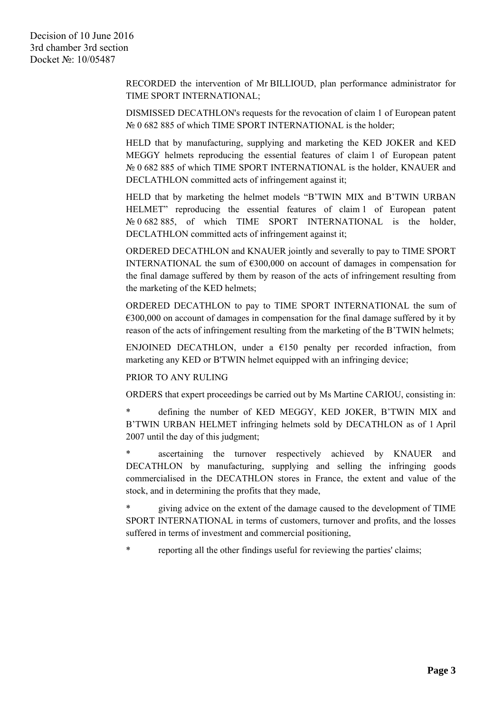RECORDED the intervention of Mr BILLIOUD, plan performance administrator for TIME SPORT INTERNATIONAL;

DISMISSED DECATHLON's requests for the revocation of claim 1 of European patent № 0 682 885 of which TIME SPORT INTERNATIONAL is the holder;

HELD that by manufacturing, supplying and marketing the KED JOKER and KED MEGGY helmets reproducing the essential features of claim 1 of European patent № 0 682 885 of which TIME SPORT INTERNATIONAL is the holder, KNAUER and DECLATHLON committed acts of infringement against it;

HELD that by marketing the helmet models "B'TWIN MIX and B'TWIN URBAN HELMET" reproducing the essential features of claim 1 of European patent Nº 0 682 885, of which TIME SPORT INTERNATIONAL is the holder, DECLATHLON committed acts of infringement against it;

ORDERED DECATHLON and KNAUER jointly and severally to pay to TIME SPORT INTERNATIONAL the sum of  $\epsilon$ 300,000 on account of damages in compensation for the final damage suffered by them by reason of the acts of infringement resulting from the marketing of the KED helmets;

ORDERED DECATHLON to pay to TIME SPORT INTERNATIONAL the sum of  $\epsilon$ 300,000 on account of damages in compensation for the final damage suffered by it by reason of the acts of infringement resulting from the marketing of the B'TWIN helmets;

ENJOINED DECATHLON, under a  $E150$  penalty per recorded infraction, from marketing any KED or B'TWIN helmet equipped with an infringing device;

## PRIOR TO ANY RULING

ORDERS that expert proceedings be carried out by Ms Martine CARIOU, consisting in:

defining the number of KED MEGGY, KED JOKER, B'TWIN MIX and B'TWIN URBAN HELMET infringing helmets sold by DECATHLON as of 1 April 2007 until the day of this judgment;

\* ascertaining the turnover respectively achieved by KNAUER and DECATHLON by manufacturing, supplying and selling the infringing goods commercialised in the DECATHLON stores in France, the extent and value of the stock, and in determining the profits that they made,

giving advice on the extent of the damage caused to the development of TIME SPORT INTERNATIONAL in terms of customers, turnover and profits, and the losses suffered in terms of investment and commercial positioning,

\* reporting all the other findings useful for reviewing the parties' claims;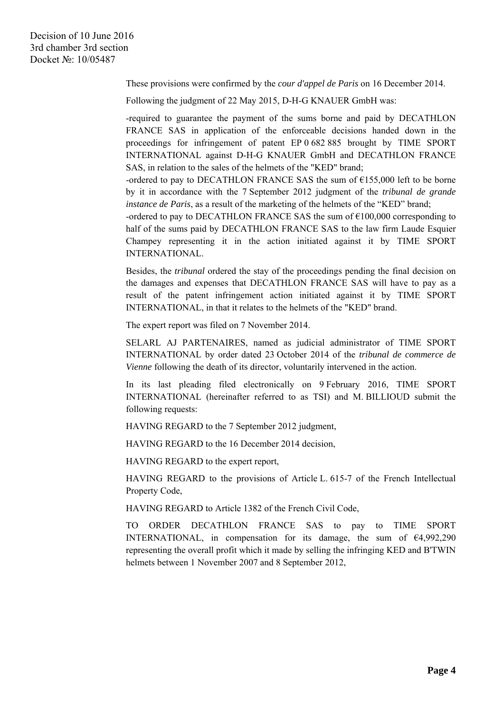These provisions were confirmed by the *cour d'appel de Paris* on 16 December 2014.

Following the judgment of 22 May 2015, D-H-G KNAUER GmbH was:

-required to guarantee the payment of the sums borne and paid by DECATHLON FRANCE SAS in application of the enforceable decisions handed down in the proceedings for infringement of patent EP 0 682 885 brought by TIME SPORT INTERNATIONAL against D-H-G KNAUER GmbH and DECATHLON FRANCE SAS, in relation to the sales of the helmets of the "KED" brand;

-ordered to pay to DECATHLON FRANCE SAS the sum of  $£155,000$  left to be borne by it in accordance with the 7 September 2012 judgment of the *tribunal de grande instance de Paris*, as a result of the marketing of the helmets of the "KED" brand;

-ordered to pay to DECATHLON FRANCE SAS the sum of  $\epsilon$ 100,000 corresponding to half of the sums paid by DECATHLON FRANCE SAS to the law firm Laude Esquier Champey representing it in the action initiated against it by TIME SPORT INTERNATIONAL.

Besides, the *tribunal* ordered the stay of the proceedings pending the final decision on the damages and expenses that DECATHLON FRANCE SAS will have to pay as a result of the patent infringement action initiated against it by TIME SPORT INTERNATIONAL, in that it relates to the helmets of the "KED" brand.

The expert report was filed on 7 November 2014.

SELARL AJ PARTENAIRES, named as judicial administrator of TIME SPORT INTERNATIONAL by order dated 23 October 2014 of the *tribunal de commerce de Vienne* following the death of its director, voluntarily intervened in the action.

In its last pleading filed electronically on 9 February 2016, TIME SPORT INTERNATIONAL (hereinafter referred to as TSI) and M. BILLIOUD submit the following requests:

HAVING REGARD to the 7 September 2012 judgment,

HAVING REGARD to the 16 December 2014 decision,

HAVING REGARD to the expert report,

HAVING REGARD to the provisions of Article L. 615-7 of the French Intellectual Property Code,

HAVING REGARD to Article 1382 of the French Civil Code,

TO ORDER DECATHLON FRANCE SAS to pay to TIME SPORT INTERNATIONAL, in compensation for its damage, the sum of  $\epsilon$ 4,992,290 representing the overall profit which it made by selling the infringing KED and B'TWIN helmets between 1 November 2007 and 8 September 2012,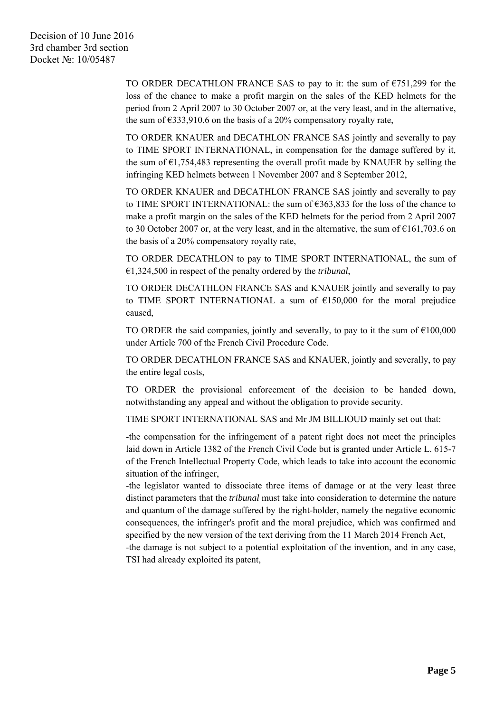TO ORDER DECATHLON FRANCE SAS to pay to it: the sum of  $\epsilon$ 751,299 for the loss of the chance to make a profit margin on the sales of the KED helmets for the period from 2 April 2007 to 30 October 2007 or, at the very least, and in the alternative, the sum of  $\epsilon$ 333,910.6 on the basis of a 20% compensatory royalty rate,

TO ORDER KNAUER and DECATHLON FRANCE SAS jointly and severally to pay to TIME SPORT INTERNATIONAL, in compensation for the damage suffered by it, the sum of  $E1,754,483$  representing the overall profit made by KNAUER by selling the infringing KED helmets between 1 November 2007 and 8 September 2012,

TO ORDER KNAUER and DECATHLON FRANCE SAS jointly and severally to pay to TIME SPORT INTERNATIONAL: the sum of  $\epsilon$ 363,833 for the loss of the chance to make a profit margin on the sales of the KED helmets for the period from 2 April 2007 to 30 October 2007 or, at the very least, and in the alternative, the sum of  $\epsilon$ 161,703.6 on the basis of a 20% compensatory royalty rate,

TO ORDER DECATHLON to pay to TIME SPORT INTERNATIONAL, the sum of €1,324,500 in respect of the penalty ordered by the *tribunal*,

TO ORDER DECATHLON FRANCE SAS and KNAUER jointly and severally to pay to TIME SPORT INTERNATIONAL a sum of  $£150,000$  for the moral prejudice caused,

TO ORDER the said companies, jointly and severally, to pay to it the sum of  $\epsilon$ 100,000 under Article 700 of the French Civil Procedure Code.

TO ORDER DECATHLON FRANCE SAS and KNAUER, jointly and severally, to pay the entire legal costs,

TO ORDER the provisional enforcement of the decision to be handed down, notwithstanding any appeal and without the obligation to provide security.

TIME SPORT INTERNATIONAL SAS and Mr JM BILLIOUD mainly set out that:

-the compensation for the infringement of a patent right does not meet the principles laid down in Article 1382 of the French Civil Code but is granted under Article L. 615-7 of the French Intellectual Property Code, which leads to take into account the economic situation of the infringer,

-the legislator wanted to dissociate three items of damage or at the very least three distinct parameters that the *tribunal* must take into consideration to determine the nature and quantum of the damage suffered by the right-holder, namely the negative economic consequences, the infringer's profit and the moral prejudice, which was confirmed and specified by the new version of the text deriving from the 11 March 2014 French Act,

-the damage is not subject to a potential exploitation of the invention, and in any case, TSI had already exploited its patent,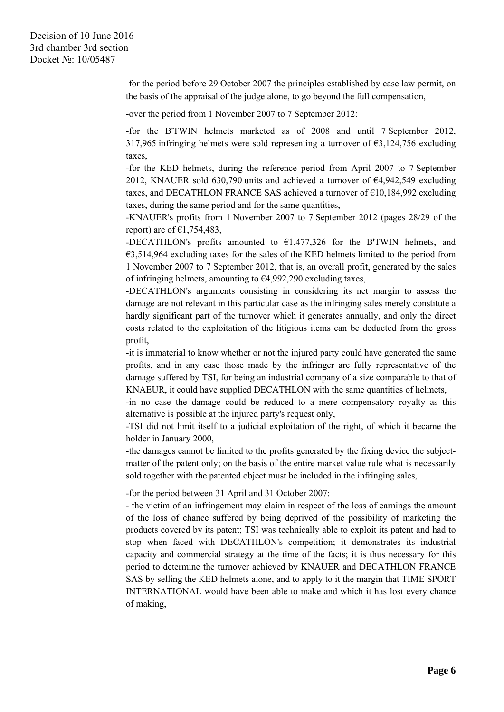‐for the period before 29 October 2007 the principles established by case law permit, on the basis of the appraisal of the judge alone, to go beyond the full compensation,

-over the period from 1 November 2007 to 7 September 2012:

-for the B'TWIN helmets marketed as of 2008 and until 7 September 2012, 317,965 infringing helmets were sold representing a turnover of  $\epsilon$ 3,124,756 excluding taxes,

-for the KED helmets, during the reference period from April 2007 to 7 September 2012, KNAUER sold 630,790 units and achieved a turnover of  $\epsilon$ 4,942,549 excluding taxes, and DECATHLON FRANCE SAS achieved a turnover of €10,184,992 excluding taxes, during the same period and for the same quantities,

-KNAUER's profits from 1 November 2007 to 7 September 2012 (pages 28/29 of the report) are of  $\epsilon$ 1,754,483,

-DECATHLON's profits amounted to  $£1,477,326$  for the B'TWIN helmets, and €3,514,964 excluding taxes for the sales of the KED helmets limited to the period from 1 November 2007 to 7 September 2012, that is, an overall profit, generated by the sales of infringing helmets, amounting to  $\epsilon$ 4,992,290 excluding taxes,

-DECATHLON's arguments consisting in considering its net margin to assess the damage are not relevant in this particular case as the infringing sales merely constitute a hardly significant part of the turnover which it generates annually, and only the direct costs related to the exploitation of the litigious items can be deducted from the gross profit,

-it is immaterial to know whether or not the injured party could have generated the same profits, and in any case those made by the infringer are fully representative of the damage suffered by TSI, for being an industrial company of a size comparable to that of KNAEUR, it could have supplied DECATHLON with the same quantities of helmets,

-in no case the damage could be reduced to a mere compensatory royalty as this alternative is possible at the injured party's request only,

-TSI did not limit itself to a judicial exploitation of the right, of which it became the holder in January 2000,

-the damages cannot be limited to the profits generated by the fixing device the subjectmatter of the patent only; on the basis of the entire market value rule what is necessarily sold together with the patented object must be included in the infringing sales,

-for the period between 31 April and 31 October 2007:

- the victim of an infringement may claim in respect of the loss of earnings the amount of the loss of chance suffered by being deprived of the possibility of marketing the products covered by its patent; TSI was technically able to exploit its patent and had to stop when faced with DECATHLON's competition; it demonstrates its industrial capacity and commercial strategy at the time of the facts; it is thus necessary for this period to determine the turnover achieved by KNAUER and DECATHLON FRANCE SAS by selling the KED helmets alone, and to apply to it the margin that TIME SPORT INTERNATIONAL would have been able to make and which it has lost every chance of making,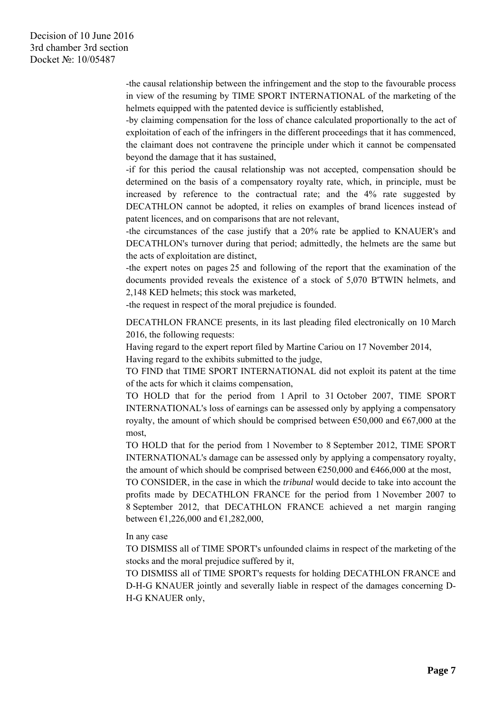-the causal relationship between the infringement and the stop to the favourable process in view of the resuming by TIME SPORT INTERNATIONAL of the marketing of the helmets equipped with the patented device is sufficiently established,

-by claiming compensation for the loss of chance calculated proportionally to the act of exploitation of each of the infringers in the different proceedings that it has commenced, the claimant does not contravene the principle under which it cannot be compensated beyond the damage that it has sustained,

-if for this period the causal relationship was not accepted, compensation should be determined on the basis of a compensatory royalty rate, which, in principle, must be increased by reference to the contractual rate; and the 4% rate suggested by DECATHLON cannot be adopted, it relies on examples of brand licences instead of patent licences, and on comparisons that are not relevant,

-the circumstances of the case justify that a 20% rate be applied to KNAUER's and DECATHLON's turnover during that period; admittedly, the helmets are the same but the acts of exploitation are distinct,

-the expert notes on pages 25 and following of the report that the examination of the documents provided reveals the existence of a stock of 5,070 B'TWIN helmets, and 2,148 KED helmets; this stock was marketed,

-the request in respect of the moral prejudice is founded.

DECATHLON FRANCE presents, in its last pleading filed electronically on 10 March 2016, the following requests:

Having regard to the expert report filed by Martine Cariou on 17 November 2014, Having regard to the exhibits submitted to the judge,

TO FIND that TIME SPORT INTERNATIONAL did not exploit its patent at the time of the acts for which it claims compensation,

TO HOLD that for the period from 1 April to 31 October 2007, TIME SPORT INTERNATIONAL's loss of earnings can be assessed only by applying a compensatory royalty, the amount of which should be comprised between  $\epsilon$ 50,000 and  $\epsilon$ 67,000 at the most,

TO HOLD that for the period from 1 November to 8 September 2012, TIME SPORT INTERNATIONAL's damage can be assessed only by applying a compensatory royalty, the amount of which should be comprised between  $\epsilon$ 250,000 and  $\epsilon$ 466,000 at the most,

TO CONSIDER, in the case in which the *tribunal* would decide to take into account the profits made by DECATHLON FRANCE for the period from 1 November 2007 to 8 September 2012, that DECATHLON FRANCE achieved a net margin ranging between  $\text{£}1,226,000$  and  $\text{£}1,282,000$ ,

In any case

TO DISMISS all of TIME SPORT's unfounded claims in respect of the marketing of the stocks and the moral prejudice suffered by it,

TO DISMISS all of TIME SPORT's requests for holding DECATHLON FRANCE and D-H-G KNAUER jointly and severally liable in respect of the damages concerning D-H-G KNAUER only,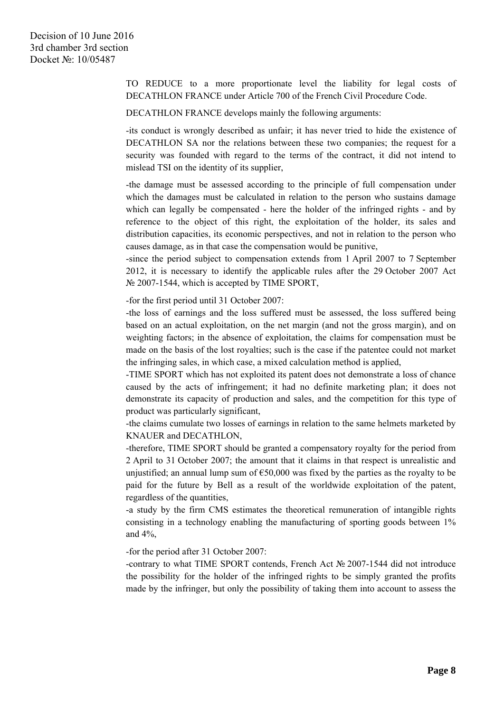TO REDUCE to a more proportionate level the liability for legal costs of DECATHLON FRANCE under Article 700 of the French Civil Procedure Code.

DECATHLON FRANCE develops mainly the following arguments:

-its conduct is wrongly described as unfair; it has never tried to hide the existence of DECATHLON SA nor the relations between these two companies; the request for a security was founded with regard to the terms of the contract, it did not intend to mislead TSI on the identity of its supplier,

-the damage must be assessed according to the principle of full compensation under which the damages must be calculated in relation to the person who sustains damage which can legally be compensated - here the holder of the infringed rights - and by reference to the object of this right, the exploitation of the holder, its sales and distribution capacities, its economic perspectives, and not in relation to the person who causes damage, as in that case the compensation would be punitive,

-since the period subject to compensation extends from 1 April 2007 to 7 September 2012, it is necessary to identify the applicable rules after the 29 October 2007 Act № 2007-1544, which is accepted by TIME SPORT,

-for the first period until 31 October 2007:

-the loss of earnings and the loss suffered must be assessed, the loss suffered being based on an actual exploitation, on the net margin (and not the gross margin), and on weighting factors; in the absence of exploitation, the claims for compensation must be made on the basis of the lost royalties; such is the case if the patentee could not market the infringing sales, in which case, a mixed calculation method is applied,

-TIME SPORT which has not exploited its patent does not demonstrate a loss of chance caused by the acts of infringement; it had no definite marketing plan; it does not demonstrate its capacity of production and sales, and the competition for this type of product was particularly significant,

-the claims cumulate two losses of earnings in relation to the same helmets marketed by KNAUER and DECATHLON,

-therefore, TIME SPORT should be granted a compensatory royalty for the period from 2 April to 31 October 2007; the amount that it claims in that respect is unrealistic and unjustified; an annual lump sum of  $\epsilon$ 50,000 was fixed by the parties as the royalty to be paid for the future by Bell as a result of the worldwide exploitation of the patent, regardless of the quantities,

-a study by the firm CMS estimates the theoretical remuneration of intangible rights consisting in a technology enabling the manufacturing of sporting goods between 1% and 4%,

-for the period after 31 October 2007:

-contrary to what TIME SPORT contends, French Act № 2007-1544 did not introduce the possibility for the holder of the infringed rights to be simply granted the profits made by the infringer, but only the possibility of taking them into account to assess the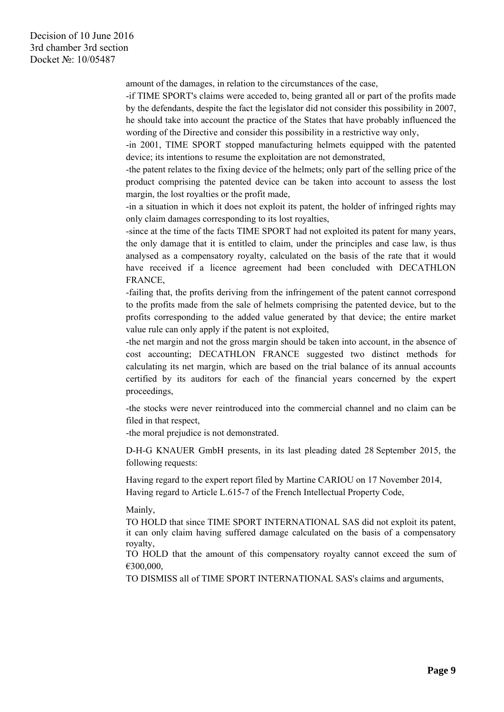amount of the damages, in relation to the circumstances of the case,

-if TIME SPORT's claims were acceded to, being granted all or part of the profits made by the defendants, despite the fact the legislator did not consider this possibility in 2007, he should take into account the practice of the States that have probably influenced the wording of the Directive and consider this possibility in a restrictive way only,

-in 2001, TIME SPORT stopped manufacturing helmets equipped with the patented device; its intentions to resume the exploitation are not demonstrated,

-the patent relates to the fixing device of the helmets; only part of the selling price of the product comprising the patented device can be taken into account to assess the lost margin, the lost royalties or the profit made,

-in a situation in which it does not exploit its patent, the holder of infringed rights may only claim damages corresponding to its lost royalties,

-since at the time of the facts TIME SPORT had not exploited its patent for many years, the only damage that it is entitled to claim, under the principles and case law, is thus analysed as a compensatory royalty, calculated on the basis of the rate that it would have received if a licence agreement had been concluded with DECATHLON FRANCE,

-failing that, the profits deriving from the infringement of the patent cannot correspond to the profits made from the sale of helmets comprising the patented device, but to the profits corresponding to the added value generated by that device; the entire market value rule can only apply if the patent is not exploited,

-the net margin and not the gross margin should be taken into account, in the absence of cost accounting; DECATHLON FRANCE suggested two distinct methods for calculating its net margin, which are based on the trial balance of its annual accounts certified by its auditors for each of the financial years concerned by the expert proceedings,

-the stocks were never reintroduced into the commercial channel and no claim can be filed in that respect,

-the moral prejudice is not demonstrated.

D-H-G KNAUER GmbH presents, in its last pleading dated 28 September 2015, the following requests:

Having regard to the expert report filed by Martine CARIOU on 17 November 2014, Having regard to Article L.615-7 of the French Intellectual Property Code,

#### Mainly,

TO HOLD that since TIME SPORT INTERNATIONAL SAS did not exploit its patent, it can only claim having suffered damage calculated on the basis of a compensatory royalty,

TO HOLD that the amount of this compensatory royalty cannot exceed the sum of €300,000,

TO DISMISS all of TIME SPORT INTERNATIONAL SAS's claims and arguments,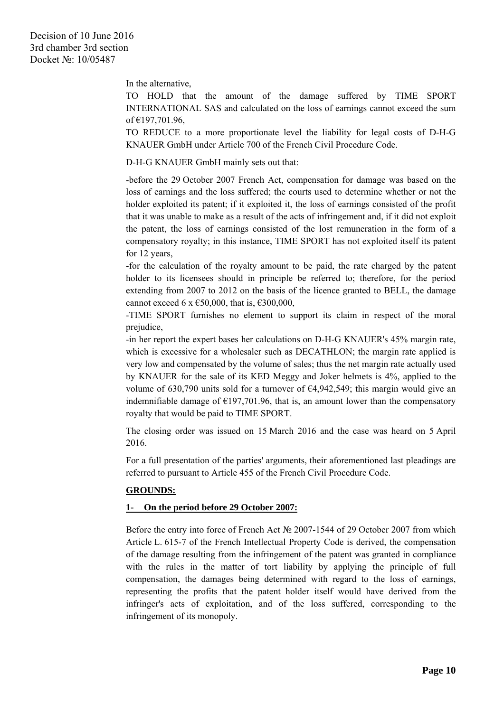In the alternative,

TO HOLD that the amount of the damage suffered by TIME SPORT INTERNATIONAL SAS and calculated on the loss of earnings cannot exceed the sum of €197,701.96,

TO REDUCE to a more proportionate level the liability for legal costs of D-H-G KNAUER GmbH under Article 700 of the French Civil Procedure Code.

D-H-G KNAUER GmbH mainly sets out that:

-before the 29 October 2007 French Act, compensation for damage was based on the loss of earnings and the loss suffered; the courts used to determine whether or not the holder exploited its patent; if it exploited it, the loss of earnings consisted of the profit that it was unable to make as a result of the acts of infringement and, if it did not exploit the patent, the loss of earnings consisted of the lost remuneration in the form of a compensatory royalty; in this instance, TIME SPORT has not exploited itself its patent for 12 years,

-for the calculation of the royalty amount to be paid, the rate charged by the patent holder to its licensees should in principle be referred to; therefore, for the period extending from 2007 to 2012 on the basis of the licence granted to BELL, the damage cannot exceed 6 x  $\text{\textsterling}50,000$ , that is,  $\text{\textsterling}300,000$ ,

-TIME SPORT furnishes no element to support its claim in respect of the moral prejudice,

-in her report the expert bases her calculations on D-H-G KNAUER's 45% margin rate, which is excessive for a wholesaler such as DECATHLON; the margin rate applied is very low and compensated by the volume of sales; thus the net margin rate actually used by KNAUER for the sale of its KED Meggy and Joker helmets is 4%, applied to the volume of 630,790 units sold for a turnover of €4,942,549; this margin would give an indemnifiable damage of  $\epsilon$ 197,701.96, that is, an amount lower than the compensatory royalty that would be paid to TIME SPORT.

The closing order was issued on 15 March 2016 and the case was heard on 5 April 2016.

For a full presentation of the parties' arguments, their aforementioned last pleadings are referred to pursuant to Article 455 of the French Civil Procedure Code.

## **GROUNDS:**

## **1- On the period before 29 October 2007:**

Before the entry into force of French Act № 2007-1544 of 29 October 2007 from which Article L. 615-7 of the French Intellectual Property Code is derived, the compensation of the damage resulting from the infringement of the patent was granted in compliance with the rules in the matter of tort liability by applying the principle of full compensation, the damages being determined with regard to the loss of earnings, representing the profits that the patent holder itself would have derived from the infringer's acts of exploitation, and of the loss suffered, corresponding to the infringement of its monopoly.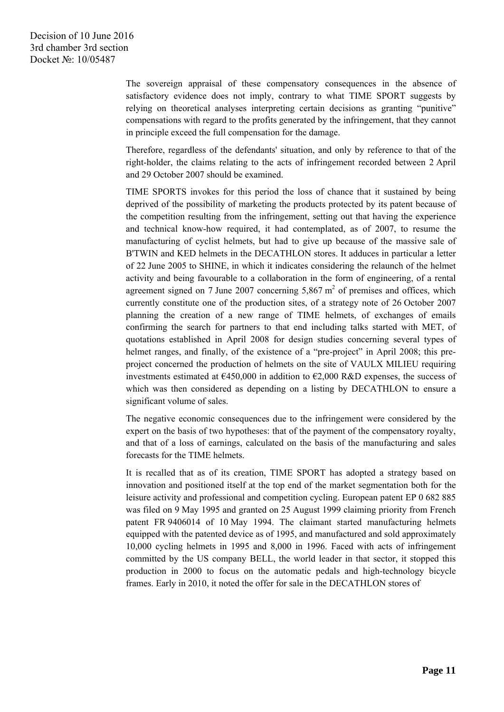The sovereign appraisal of these compensatory consequences in the absence of satisfactory evidence does not imply, contrary to what TIME SPORT suggests by relying on theoretical analyses interpreting certain decisions as granting "punitive" compensations with regard to the profits generated by the infringement, that they cannot in principle exceed the full compensation for the damage.

Therefore, regardless of the defendants' situation, and only by reference to that of the right-holder, the claims relating to the acts of infringement recorded between 2 April and 29 October 2007 should be examined.

TIME SPORTS invokes for this period the loss of chance that it sustained by being deprived of the possibility of marketing the products protected by its patent because of the competition resulting from the infringement, setting out that having the experience and technical know-how required, it had contemplated, as of 2007, to resume the manufacturing of cyclist helmets, but had to give up because of the massive sale of B'TWIN and KED helmets in the DECATHLON stores. It adduces in particular a letter of 22 June 2005 to SHINE, in which it indicates considering the relaunch of the helmet activity and being favourable to a collaboration in the form of engineering, of a rental agreement signed on 7 June 2007 concerning  $5,867 \text{ m}^2$  of premises and offices, which currently constitute one of the production sites, of a strategy note of 26 October 2007 planning the creation of a new range of TIME helmets, of exchanges of emails confirming the search for partners to that end including talks started with MET, of quotations established in April 2008 for design studies concerning several types of helmet ranges, and finally, of the existence of a "pre-project" in April 2008; this preproject concerned the production of helmets on the site of VAULX MILIEU requiring investments estimated at  $E450,000$  in addition to  $E2,000$  R&D expenses, the success of which was then considered as depending on a listing by DECATHLON to ensure a significant volume of sales.

The negative economic consequences due to the infringement were considered by the expert on the basis of two hypotheses: that of the payment of the compensatory royalty, and that of a loss of earnings, calculated on the basis of the manufacturing and sales forecasts for the TIME helmets.

It is recalled that as of its creation, TIME SPORT has adopted a strategy based on innovation and positioned itself at the top end of the market segmentation both for the leisure activity and professional and competition cycling. European patent EP 0 682 885 was filed on 9 May 1995 and granted on 25 August 1999 claiming priority from French patent FR 9406014 of 10 May 1994. The claimant started manufacturing helmets equipped with the patented device as of 1995, and manufactured and sold approximately 10,000 cycling helmets in 1995 and 8,000 in 1996. Faced with acts of infringement committed by the US company BELL, the world leader in that sector, it stopped this production in 2000 to focus on the automatic pedals and high-technology bicycle frames. Early in 2010, it noted the offer for sale in the DECATHLON stores of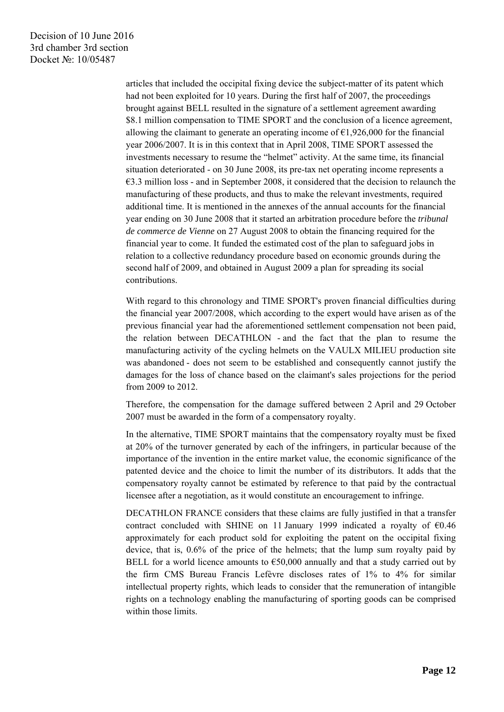articles that included the occipital fixing device the subject-matter of its patent which had not been exploited for 10 years. During the first half of 2007, the proceedings brought against BELL resulted in the signature of a settlement agreement awarding \$8.1 million compensation to TIME SPORT and the conclusion of a licence agreement, allowing the claimant to generate an operating income of  $\epsilon$ 1,926,000 for the financial year 2006/2007. It is in this context that in April 2008, TIME SPORT assessed the investments necessary to resume the "helmet" activity. At the same time, its financial situation deteriorated - on 30 June 2008, its pre-tax net operating income represents a  $\epsilon$ 3.3 million loss - and in September 2008, it considered that the decision to relaunch the manufacturing of these products, and thus to make the relevant investments, required additional time. It is mentioned in the annexes of the annual accounts for the financial year ending on 30 June 2008 that it started an arbitration procedure before the *tribunal de commerce de Vienne* on 27 August 2008 to obtain the financing required for the financial year to come. It funded the estimated cost of the plan to safeguard jobs in relation to a collective redundancy procedure based on economic grounds during the second half of 2009, and obtained in August 2009 a plan for spreading its social contributions.

With regard to this chronology and TIME SPORT's proven financial difficulties during the financial year 2007/2008, which according to the expert would have arisen as of the previous financial year had the aforementioned settlement compensation not been paid, the relation between DECATHLON - and the fact that the plan to resume the manufacturing activity of the cycling helmets on the VAULX MILIEU production site was abandoned - does not seem to be established and consequently cannot justify the damages for the loss of chance based on the claimant's sales projections for the period from 2009 to 2012.

Therefore, the compensation for the damage suffered between 2 April and 29 October 2007 must be awarded in the form of a compensatory royalty.

In the alternative, TIME SPORT maintains that the compensatory royalty must be fixed at 20% of the turnover generated by each of the infringers, in particular because of the importance of the invention in the entire market value, the economic significance of the patented device and the choice to limit the number of its distributors. It adds that the compensatory royalty cannot be estimated by reference to that paid by the contractual licensee after a negotiation, as it would constitute an encouragement to infringe.

DECATHLON FRANCE considers that these claims are fully justified in that a transfer contract concluded with SHINE on 11 January 1999 indicated a royalty of  $\epsilon$ 0.46 approximately for each product sold for exploiting the patent on the occipital fixing device, that is, 0.6% of the price of the helmets; that the lump sum royalty paid by BELL for a world licence amounts to  $\epsilon$ 50,000 annually and that a study carried out by the firm CMS Bureau Francis Lefèvre discloses rates of 1% to 4% for similar intellectual property rights, which leads to consider that the remuneration of intangible rights on a technology enabling the manufacturing of sporting goods can be comprised within those limits.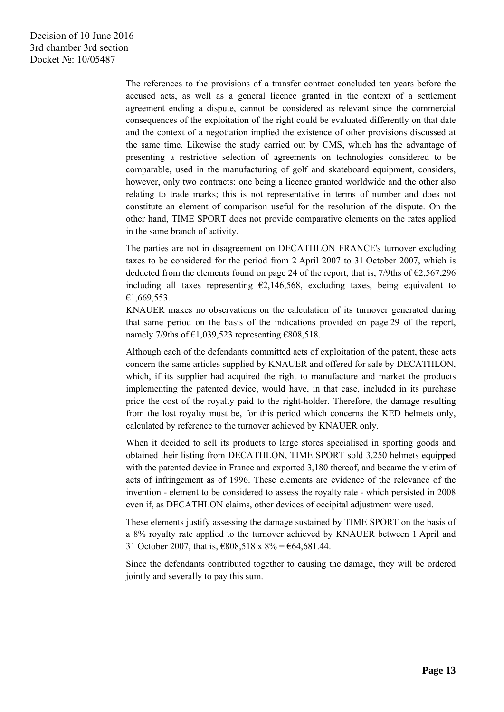The references to the provisions of a transfer contract concluded ten years before the accused acts, as well as a general licence granted in the context of a settlement agreement ending a dispute, cannot be considered as relevant since the commercial consequences of the exploitation of the right could be evaluated differently on that date and the context of a negotiation implied the existence of other provisions discussed at the same time. Likewise the study carried out by CMS, which has the advantage of presenting a restrictive selection of agreements on technologies considered to be comparable, used in the manufacturing of golf and skateboard equipment, considers, however, only two contracts: one being a licence granted worldwide and the other also relating to trade marks; this is not representative in terms of number and does not constitute an element of comparison useful for the resolution of the dispute. On the other hand, TIME SPORT does not provide comparative elements on the rates applied in the same branch of activity.

The parties are not in disagreement on DECATHLON FRANCE's turnover excluding taxes to be considered for the period from 2 April 2007 to 31 October 2007, which is deducted from the elements found on page 24 of the report, that is, 7/9ths of  $\epsilon$ 2,567,296 including all taxes representing  $\epsilon$ 2,146,568, excluding taxes, being equivalent to €1,669,553.

KNAUER makes no observations on the calculation of its turnover generated during that same period on the basis of the indications provided on page 29 of the report, namely 7/9ths of  $\epsilon$ 1,039,523 representing  $\epsilon$ 808,518.

Although each of the defendants committed acts of exploitation of the patent, these acts concern the same articles supplied by KNAUER and offered for sale by DECATHLON, which, if its supplier had acquired the right to manufacture and market the products implementing the patented device, would have, in that case, included in its purchase price the cost of the royalty paid to the right-holder. Therefore, the damage resulting from the lost royalty must be, for this period which concerns the KED helmets only, calculated by reference to the turnover achieved by KNAUER only.

When it decided to sell its products to large stores specialised in sporting goods and obtained their listing from DECATHLON, TIME SPORT sold 3,250 helmets equipped with the patented device in France and exported 3,180 thereof, and became the victim of acts of infringement as of 1996. These elements are evidence of the relevance of the invention - element to be considered to assess the royalty rate - which persisted in 2008 even if, as DECATHLON claims, other devices of occipital adjustment were used.

These elements justify assessing the damage sustained by TIME SPORT on the basis of a 8% royalty rate applied to the turnover achieved by KNAUER between 1 April and 31 October 2007, that is,  $\text{\textsterling}808,518 \text{ x } 8\% = \text{\textsterling}64,681.44$ .

Since the defendants contributed together to causing the damage, they will be ordered jointly and severally to pay this sum.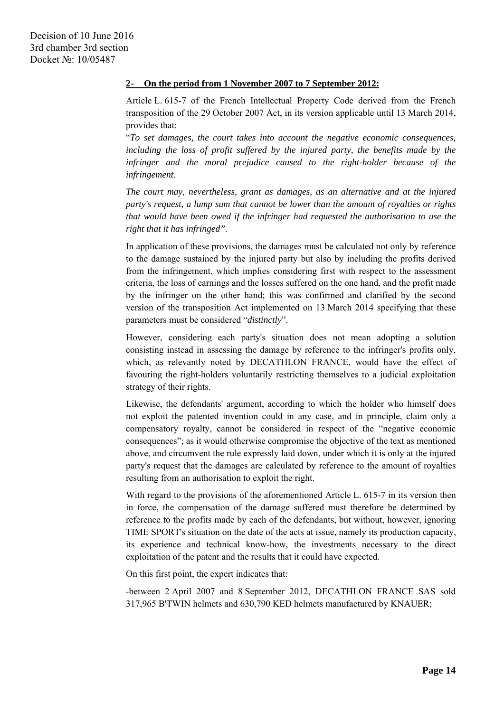### **2- On the period from 1 November 2007 to 7 September 2012:**

Article L. 615-7 of the French Intellectual Property Code derived from the French transposition of the 29 October 2007 Act, in its version applicable until 13 March 2014, provides that:

"*To set damages, the court takes into account the negative economic consequences,*  including the loss of profit suffered by the injured party, the benefits made by the *infringer and the moral prejudice caused to the right-holder because of the infringement*.

*The court may, nevertheless, grant as damages, as an alternative and at the injured party's request, a lump sum that cannot be lower than the amount of royalties or rights that would have been owed if the infringer had requested the authorisation to use the right that it has infringed".* 

In application of these provisions, the damages must be calculated not only by reference to the damage sustained by the injured party but also by including the profits derived from the infringement, which implies considering first with respect to the assessment criteria, the loss of earnings and the losses suffered on the one hand, and the profit made by the infringer on the other hand; this was confirmed and clarified by the second version of the transposition Act implemented on 13 March 2014 specifying that these parameters must be considered "*distinctly*".

However, considering each party's situation does not mean adopting a solution consisting instead in assessing the damage by reference to the infringer's profits only, which, as relevantly noted by DECATHLON FRANCE, would have the effect of favouring the right-holders voluntarily restricting themselves to a judicial exploitation strategy of their rights.

Likewise, the defendants' argument, according to which the holder who himself does not exploit the patented invention could in any case, and in principle, claim only a compensatory royalty, cannot be considered in respect of the "negative economic consequences"; as it would otherwise compromise the objective of the text as mentioned above, and circumvent the rule expressly laid down, under which it is only at the injured party's request that the damages are calculated by reference to the amount of royalties resulting from an authorisation to exploit the right.

With regard to the provisions of the aforementioned Article L, 615-7 in its version then in force, the compensation of the damage suffered must therefore be determined by reference to the profits made by each of the defendants, but without, however, ignoring TIME SPORT's situation on the date of the acts at issue, namely its production capacity, its experience and technical know-how, the investments necessary to the direct exploitation of the patent and the results that it could have expected.

On this first point, the expert indicates that:

-between 2 April 2007 and 8 September 2012, DECATHLON FRANCE SAS sold 317,965 B'TWIN helmets and 630,790 KED helmets manufactured by KNAUER;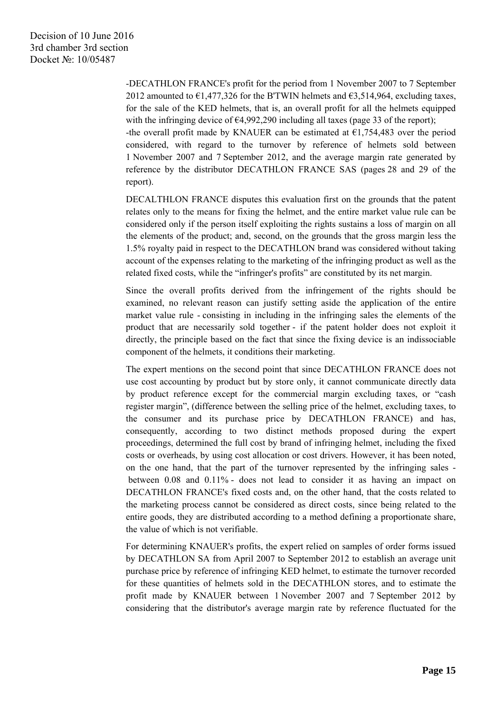-DECATHLON FRANCE's profit for the period from 1 November 2007 to 7 September 2012 amounted to  $\epsilon$ 1,477,326 for the B'TWIN helmets and  $\epsilon$ 3,514,964, excluding taxes, for the sale of the KED helmets, that is, an overall profit for all the helmets equipped with the infringing device of  $\epsilon$ 4,992,290 including all taxes (page 33 of the report);

-the overall profit made by KNAUER can be estimated at  $\epsilon$ 1,754,483 over the period considered, with regard to the turnover by reference of helmets sold between 1 November 2007 and 7 September 2012, and the average margin rate generated by reference by the distributor DECATHLON FRANCE SAS (pages 28 and 29 of the report).

DECALTHLON FRANCE disputes this evaluation first on the grounds that the patent relates only to the means for fixing the helmet, and the entire market value rule can be considered only if the person itself exploiting the rights sustains a loss of margin on all the elements of the product; and, second, on the grounds that the gross margin less the 1.5% royalty paid in respect to the DECATHLON brand was considered without taking account of the expenses relating to the marketing of the infringing product as well as the related fixed costs, while the "infringer's profits" are constituted by its net margin.

Since the overall profits derived from the infringement of the rights should be examined, no relevant reason can justify setting aside the application of the entire market value rule - consisting in including in the infringing sales the elements of the product that are necessarily sold together - if the patent holder does not exploit it directly, the principle based on the fact that since the fixing device is an indissociable component of the helmets, it conditions their marketing.

The expert mentions on the second point that since DECATHLON FRANCE does not use cost accounting by product but by store only, it cannot communicate directly data by product reference except for the commercial margin excluding taxes, or "cash register margin", (difference between the selling price of the helmet, excluding taxes, to the consumer and its purchase price by DECATHLON FRANCE) and has, consequently, according to two distinct methods proposed during the expert proceedings, determined the full cost by brand of infringing helmet, including the fixed costs or overheads, by using cost allocation or cost drivers. However, it has been noted, on the one hand, that the part of the turnover represented by the infringing sales between 0.08 and 0.11% - does not lead to consider it as having an impact on DECATHLON FRANCE's fixed costs and, on the other hand, that the costs related to the marketing process cannot be considered as direct costs, since being related to the entire goods, they are distributed according to a method defining a proportionate share, the value of which is not verifiable.

For determining KNAUER's profits, the expert relied on samples of order forms issued by DECATHLON SA from April 2007 to September 2012 to establish an average unit purchase price by reference of infringing KED helmet, to estimate the turnover recorded for these quantities of helmets sold in the DECATHLON stores, and to estimate the profit made by KNAUER between 1 November 2007 and 7 September 2012 by considering that the distributor's average margin rate by reference fluctuated for the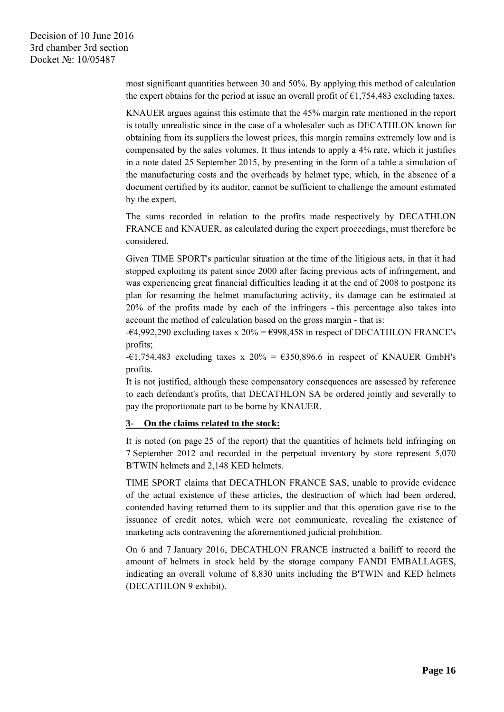most significant quantities between 30 and 50%. By applying this method of calculation the expert obtains for the period at issue an overall profit of  $\epsilon$ 1,754,483 excluding taxes.

KNAUER argues against this estimate that the 45% margin rate mentioned in the report is totally unrealistic since in the case of a wholesaler such as DECATHLON known for obtaining from its suppliers the lowest prices, this margin remains extremely low and is compensated by the sales volumes. It thus intends to apply a 4% rate, which it justifies in a note dated 25 September 2015, by presenting in the form of a table a simulation of the manufacturing costs and the overheads by helmet type, which, in the absence of a document certified by its auditor, cannot be sufficient to challenge the amount estimated by the expert.

The sums recorded in relation to the profits made respectively by DECATHLON FRANCE and KNAUER, as calculated during the expert proceedings, must therefore be considered.

Given TIME SPORT's particular situation at the time of the litigious acts, in that it had stopped exploiting its patent since 2000 after facing previous acts of infringement, and was experiencing great financial difficulties leading it at the end of 2008 to postpone its plan for resuming the helmet manufacturing activity, its damage can be estimated at 20% of the profits made by each of the infringers - this percentage also takes into account the method of calculation based on the gross margin - that is:

 $-64,992,290$  excluding taxes x 20% =  $6998,458$  in respect of DECATHLON FRANCE's profits;

 $-€1,754,483$  excluding taxes x 20% = €350,896.6 in respect of KNAUER GmbH's profits.

It is not justified, although these compensatory consequences are assessed by reference to each defendant's profits, that DECATHLON SA be ordered jointly and severally to pay the proportionate part to be borne by KNAUER.

#### **3- On the claims related to the stock:**

It is noted (on page 25 of the report) that the quantities of helmets held infringing on 7 September 2012 and recorded in the perpetual inventory by store represent 5,070 B'TWIN helmets and 2,148 KED helmets.

TIME SPORT claims that DECATHLON FRANCE SAS, unable to provide evidence of the actual existence of these articles, the destruction of which had been ordered, contended having returned them to its supplier and that this operation gave rise to the issuance of credit notes, which were not communicate, revealing the existence of marketing acts contravening the aforementioned judicial prohibition.

On 6 and 7 January 2016, DECATHLON FRANCE instructed a bailiff to record the amount of helmets in stock held by the storage company FANDI EMBALLAGES, indicating an overall volume of 8,830 units including the B'TWIN and KED helmets (DECATHLON 9 exhibit).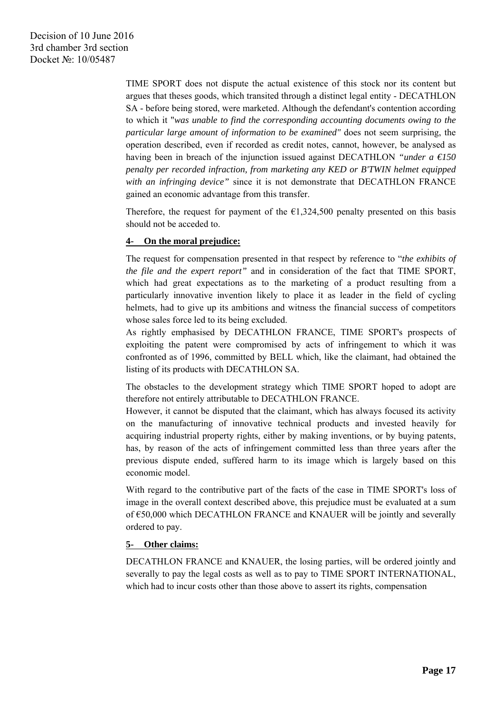TIME SPORT does not dispute the actual existence of this stock nor its content but argues that theses goods, which transited through a distinct legal entity - DECATHLON SA - before being stored, were marketed. Although the defendant's contention according to which it "*was unable to find the corresponding accounting documents owing to the particular large amount of information to be examined"* does not seem surprising, the operation described, even if recorded as credit notes, cannot, however, be analysed as having been in breach of the injunction issued against DECATHLON *"under a*  $\epsilon$ *150 penalty per recorded infraction, from marketing any KED or B'TWIN helmet equipped with an infringing device"* since it is not demonstrate that DECATHLON FRANCE gained an economic advantage from this transfer.

Therefore, the request for payment of the  $\epsilon$ 1,324,500 penalty presented on this basis should not be acceded to.

## **4- On the moral prejudice:**

The request for compensation presented in that respect by reference to "*the exhibits of the file and the expert report"* and in consideration of the fact that TIME SPORT, which had great expectations as to the marketing of a product resulting from a particularly innovative invention likely to place it as leader in the field of cycling helmets, had to give up its ambitions and witness the financial success of competitors whose sales force led to its being excluded.

As rightly emphasised by DECATHLON FRANCE, TIME SPORT's prospects of exploiting the patent were compromised by acts of infringement to which it was confronted as of 1996, committed by BELL which, like the claimant, had obtained the listing of its products with DECATHLON SA.

The obstacles to the development strategy which TIME SPORT hoped to adopt are therefore not entirely attributable to DECATHLON FRANCE.

However, it cannot be disputed that the claimant, which has always focused its activity on the manufacturing of innovative technical products and invested heavily for acquiring industrial property rights, either by making inventions, or by buying patents, has, by reason of the acts of infringement committed less than three years after the previous dispute ended, suffered harm to its image which is largely based on this economic model.

With regard to the contributive part of the facts of the case in TIME SPORT's loss of image in the overall context described above, this prejudice must be evaluated at a sum of €50,000 which DECATHLON FRANCE and KNAUER will be jointly and severally ordered to pay.

#### **5- Other claims:**

DECATHLON FRANCE and KNAUER, the losing parties, will be ordered jointly and severally to pay the legal costs as well as to pay to TIME SPORT INTERNATIONAL, which had to incur costs other than those above to assert its rights, compensation